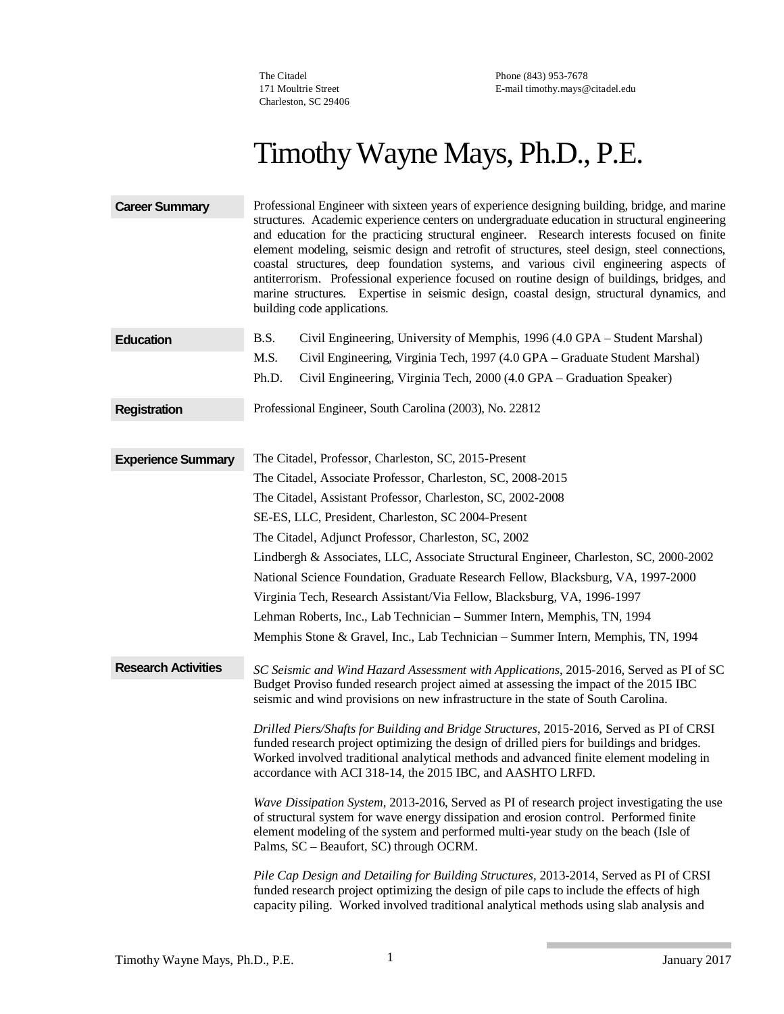The Citadel 171 Moultrie Street Charleston, SC 29406

Phone (843) 953-7678 E-mail [timothy.mays@citadel.edu](mailto:timothy.mays@citadel.edu)

# Timothy Wayne Mays, Ph.D., P.E.

| <b>Career Summary</b>      | Professional Engineer with sixteen years of experience designing building, bridge, and marine<br>structures. Academic experience centers on undergraduate education in structural engineering<br>and education for the practicing structural engineer. Research interests focused on finite<br>element modeling, seismic design and retrofit of structures, steel design, steel connections,<br>coastal structures, deep foundation systems, and various civil engineering aspects of<br>antiterrorism. Professional experience focused on routine design of buildings, bridges, and<br>marine structures. Expertise in seismic design, coastal design, structural dynamics, and<br>building code applications. |
|----------------------------|-----------------------------------------------------------------------------------------------------------------------------------------------------------------------------------------------------------------------------------------------------------------------------------------------------------------------------------------------------------------------------------------------------------------------------------------------------------------------------------------------------------------------------------------------------------------------------------------------------------------------------------------------------------------------------------------------------------------|
| <b>Education</b>           | B.S.<br>Civil Engineering, University of Memphis, 1996 (4.0 GPA – Student Marshal)                                                                                                                                                                                                                                                                                                                                                                                                                                                                                                                                                                                                                              |
|                            | M.S.<br>Civil Engineering, Virginia Tech, 1997 (4.0 GPA – Graduate Student Marshal)                                                                                                                                                                                                                                                                                                                                                                                                                                                                                                                                                                                                                             |
|                            | Civil Engineering, Virginia Tech, 2000 (4.0 GPA - Graduation Speaker)<br>Ph.D.                                                                                                                                                                                                                                                                                                                                                                                                                                                                                                                                                                                                                                  |
| <b>Registration</b>        | Professional Engineer, South Carolina (2003), No. 22812                                                                                                                                                                                                                                                                                                                                                                                                                                                                                                                                                                                                                                                         |
| <b>Experience Summary</b>  | The Citadel, Professor, Charleston, SC, 2015-Present                                                                                                                                                                                                                                                                                                                                                                                                                                                                                                                                                                                                                                                            |
|                            | The Citadel, Associate Professor, Charleston, SC, 2008-2015                                                                                                                                                                                                                                                                                                                                                                                                                                                                                                                                                                                                                                                     |
|                            | The Citadel, Assistant Professor, Charleston, SC, 2002-2008                                                                                                                                                                                                                                                                                                                                                                                                                                                                                                                                                                                                                                                     |
|                            | SE-ES, LLC, President, Charleston, SC 2004-Present                                                                                                                                                                                                                                                                                                                                                                                                                                                                                                                                                                                                                                                              |
|                            | The Citadel, Adjunct Professor, Charleston, SC, 2002                                                                                                                                                                                                                                                                                                                                                                                                                                                                                                                                                                                                                                                            |
|                            | Lindbergh & Associates, LLC, Associate Structural Engineer, Charleston, SC, 2000-2002                                                                                                                                                                                                                                                                                                                                                                                                                                                                                                                                                                                                                           |
|                            | National Science Foundation, Graduate Research Fellow, Blacksburg, VA, 1997-2000                                                                                                                                                                                                                                                                                                                                                                                                                                                                                                                                                                                                                                |
|                            | Virginia Tech, Research Assistant/Via Fellow, Blacksburg, VA, 1996-1997                                                                                                                                                                                                                                                                                                                                                                                                                                                                                                                                                                                                                                         |
|                            | Lehman Roberts, Inc., Lab Technician - Summer Intern, Memphis, TN, 1994                                                                                                                                                                                                                                                                                                                                                                                                                                                                                                                                                                                                                                         |
|                            | Memphis Stone & Gravel, Inc., Lab Technician – Summer Intern, Memphis, TN, 1994                                                                                                                                                                                                                                                                                                                                                                                                                                                                                                                                                                                                                                 |
| <b>Research Activities</b> | SC Seismic and Wind Hazard Assessment with Applications, 2015-2016, Served as PI of SC<br>Budget Proviso funded research project aimed at assessing the impact of the 2015 IBC<br>seismic and wind provisions on new infrastructure in the state of South Carolina.                                                                                                                                                                                                                                                                                                                                                                                                                                             |
|                            | Drilled Piers/Shafts for Building and Bridge Structures, 2015-2016, Served as PI of CRSI<br>funded research project optimizing the design of drilled piers for buildings and bridges.<br>Worked involved traditional analytical methods and advanced finite element modeling in<br>accordance with ACI 318-14, the 2015 IBC, and AASHTO LRFD.                                                                                                                                                                                                                                                                                                                                                                   |
|                            | Wave Dissipation System, 2013-2016, Served as PI of research project investigating the use<br>of structural system for wave energy dissipation and erosion control. Performed finite<br>element modeling of the system and performed multi-year study on the beach (Isle of<br>Palms, SC - Beaufort, SC) through OCRM.                                                                                                                                                                                                                                                                                                                                                                                          |
|                            | Pile Cap Design and Detailing for Building Structures, 2013-2014, Served as PI of CRSI<br>funded research project optimizing the design of pile caps to include the effects of high<br>capacity piling. Worked involved traditional analytical methods using slab analysis and                                                                                                                                                                                                                                                                                                                                                                                                                                  |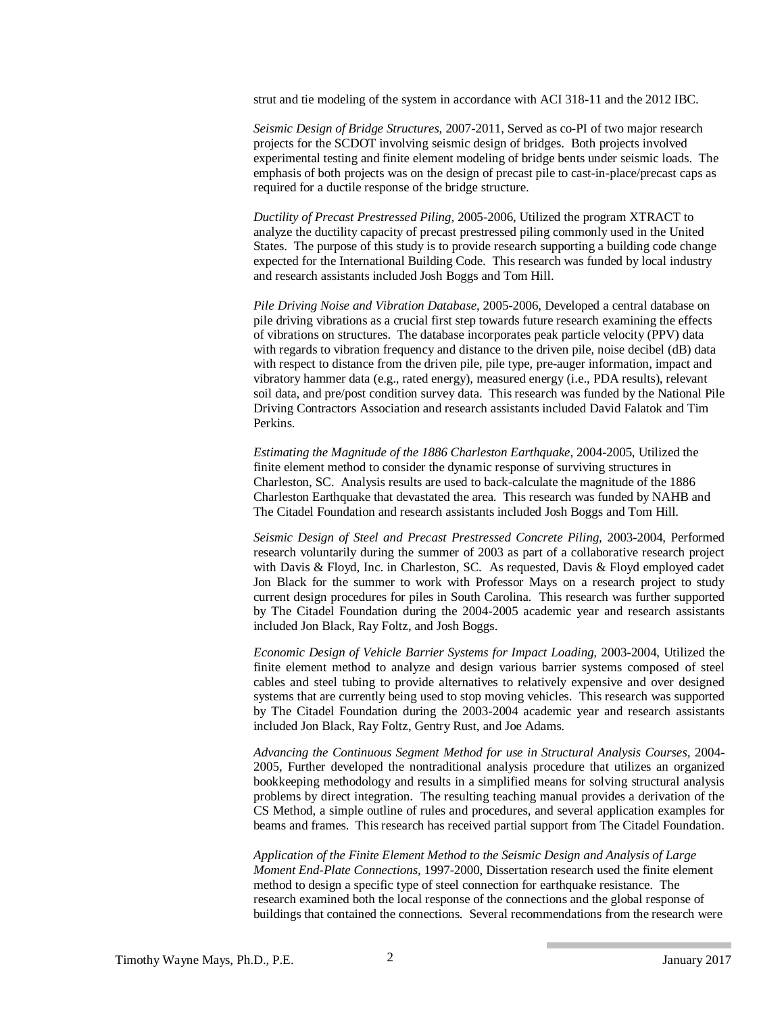strut and tie modeling of the system in accordance with ACI 318-11 and the 2012 IBC.

*Seismic Design of Bridge Structures*, 2007-2011, Served as co-PI of two major research projects for the SCDOT involving seismic design of bridges. Both projects involved experimental testing and finite element modeling of bridge bents under seismic loads. The emphasis of both projects was on the design of precast pile to cast-in-place/precast caps as required for a ductile response of the bridge structure.

*Ductility of Precast Prestressed Piling*, 2005-2006, Utilized the program XTRACT to analyze the ductility capacity of precast prestressed piling commonly used in the United States. The purpose of this study is to provide research supporting a building code change expected for the International Building Code. This research was funded by local industry and research assistants included Josh Boggs and Tom Hill.

*Pile Driving Noise and Vibration Database*, 2005-2006, Developed a central database on pile driving vibrations as a crucial first step towards future research examining the effects of vibrations on structures. The database incorporates peak particle velocity (PPV) data with regards to vibration frequency and distance to the driven pile, noise decibel (dB) data with respect to distance from the driven pile, pile type, pre-auger information, impact and vibratory hammer data (e.g., rated energy), measured energy (i.e., PDA results), relevant soil data, and pre/post condition survey data. This research was funded by the National Pile Driving Contractors Association and research assistants included David Falatok and Tim Perkins.

*Estimating the Magnitude of the 1886 Charleston Earthquake*, 2004-2005, Utilized the finite element method to consider the dynamic response of surviving structures in Charleston, SC. Analysis results are used to back-calculate the magnitude of the 1886 Charleston Earthquake that devastated the area. This research was funded by NAHB and The Citadel Foundation and research assistants included Josh Boggs and Tom Hill.

*Seismic Design of Steel and Precast Prestressed Concrete Piling,* 2003-2004, Performed research voluntarily during the summer of 2003 as part of a collaborative research project with Davis & Floyd, Inc. in Charleston, SC. As requested, Davis & Floyd employed cadet Jon Black for the summer to work with Professor Mays on a research project to study current design procedures for piles in South Carolina. This research was further supported by The Citadel Foundation during the 2004-2005 academic year and research assistants included Jon Black, Ray Foltz, and Josh Boggs.

*Economic Design of Vehicle Barrier Systems for Impact Loading,* 2003-2004, Utilized the finite element method to analyze and design various barrier systems composed of steel cables and steel tubing to provide alternatives to relatively expensive and over designed systems that are currently being used to stop moving vehicles. This research was supported by The Citadel Foundation during the 2003-2004 academic year and research assistants included Jon Black, Ray Foltz, Gentry Rust, and Joe Adams.

*Advancing the Continuous Segment Method for use in Structural Analysis Courses,* 2004- 2005, Further developed the nontraditional analysis procedure that utilizes an organized bookkeeping methodology and results in a simplified means for solving structural analysis problems by direct integration. The resulting teaching manual provides a derivation of the CS Method, a simple outline of rules and procedures, and several application examples for beams and frames. This research has received partial support from The Citadel Foundation.

*Application of the Finite Element Method to the Seismic Design and Analysis of Large Moment End-Plate Connections,* 1997-2000, Dissertation research used the finite element method to design a specific type of steel connection for earthquake resistance. The research examined both the local response of the connections and the global response of buildings that contained the connections. Several recommendations from the research were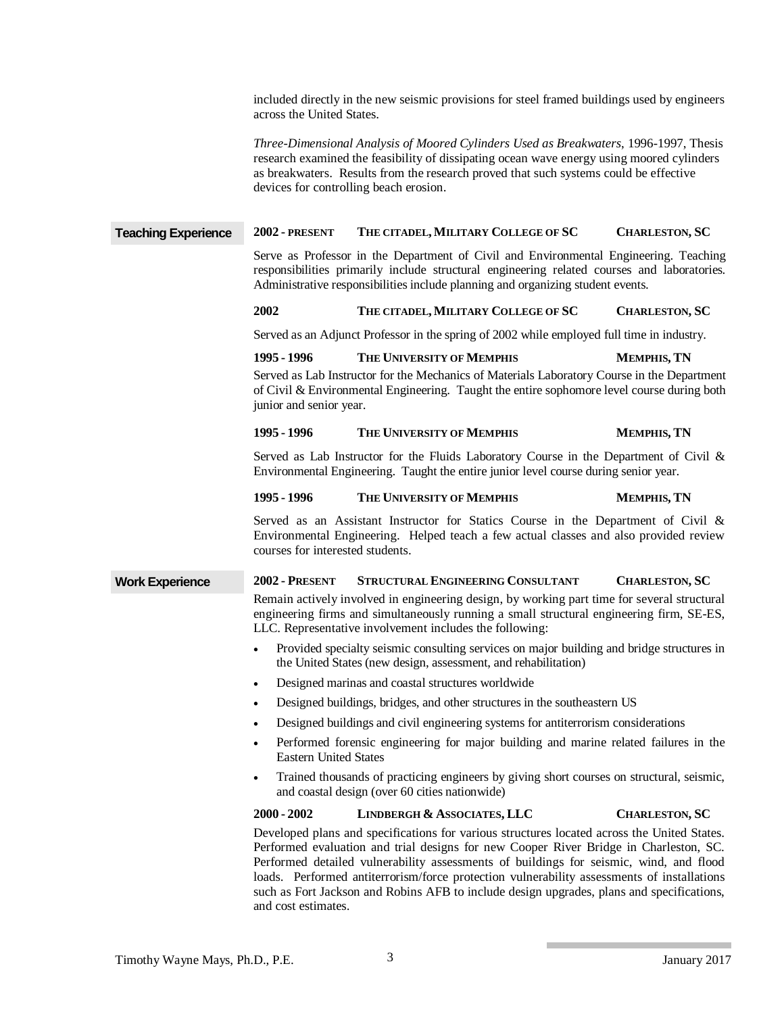included directly in the new seismic provisions for steel framed buildings used by engineers across the United States.

*Three-Dimensional Analysis of Moored Cylinders Used as Breakwaters*, 1996-1997, Thesis research examined the feasibility of dissipating ocean wave energy using moored cylinders as breakwaters. Results from the research proved that such systems could be effective devices for controlling beach erosion.

# **Teaching Experience 2002 - PRESENT THE CITADEL,MILITARY COLLEGE OF SC CHARLESTON, SC**

Serve as Professor in the Department of Civil and Environmental Engineering. Teaching responsibilities primarily include structural engineering related courses and laboratories. Administrative responsibilities include planning and organizing student events.

#### **2002 THE CITADEL,MILITARY COLLEGE OF SC CHARLESTON, SC**

Served as an Adjunct Professor in the spring of 2002 while employed full time in industry.

## **1995 - 1996 THE UNIVERSITY OF MEMPHIS MEMPHIS, TN**

Served as Lab Instructor for the Mechanics of Materials Laboratory Course in the Department of Civil & Environmental Engineering. Taught the entire sophomore level course during both junior and senior year.

## **1995 - 1996 THE UNIVERSITY OF MEMPHIS MEMPHIS, TN**

Served as Lab Instructor for the Fluids Laboratory Course in the Department of Civil & Environmental Engineering. Taught the entire junior level course during senior year.

#### **1995 - 1996 THE UNIVERSITY OF MEMPHIS MEMPHIS, TN**

Served as an Assistant Instructor for Statics Course in the Department of Civil & Environmental Engineering. Helped teach a few actual classes and also provided review courses for interested students.

## **Work Experience 2002 - PRESENT STRUCTURAL ENGINEERING CONSULTANT CHARLESTON, SC**

Remain actively involved in engineering design, by working part time for several structural engineering firms and simultaneously running a small structural engineering firm, SE-ES, LLC. Representative involvement includes the following:

- Provided specialty seismic consulting services on major building and bridge structures in the United States (new design, assessment, and rehabilitation)
- Designed marinas and coastal structures worldwide
- Designed buildings, bridges, and other structures in the southeastern US
- Designed buildings and civil engineering systems for antiterrorism considerations
- Performed forensic engineering for major building and marine related failures in the Eastern United States
- Trained thousands of practicing engineers by giving short courses on structural, seismic, and coastal design (over 60 cities nationwide)

#### **2000 - 2002 LINDBERGH & ASSOCIATES, LLC CHARLESTON, SC**

Developed plans and specifications for various structures located across the United States. Performed evaluation and trial designs for new Cooper River Bridge in Charleston, SC. Performed detailed vulnerability assessments of buildings for seismic, wind, and flood loads. Performed antiterrorism/force protection vulnerability assessments of installations such as Fort Jackson and Robins AFB to include design upgrades, plans and specifications, and cost estimates.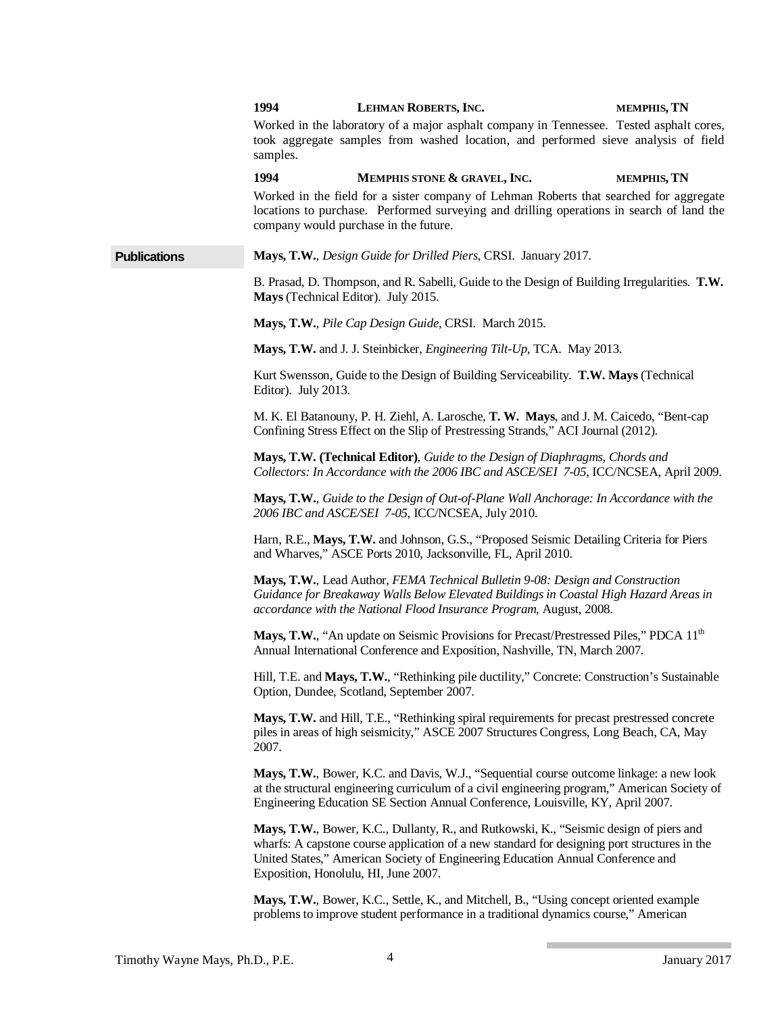|                     | 1994                                 | LEHMAN ROBERTS, INC.                                                                                                                                                                                                                                                        | MEMPHIS, TN |
|---------------------|--------------------------------------|-----------------------------------------------------------------------------------------------------------------------------------------------------------------------------------------------------------------------------------------------------------------------------|-------------|
|                     | samples.                             | Worked in the laboratory of a major asphalt company in Tennessee. Tested asphalt cores,<br>took aggregate samples from washed location, and performed sieve analysis of field                                                                                               |             |
|                     | 1994                                 | MEMPHIS STONE & GRAVEL, INC.                                                                                                                                                                                                                                                | MEMPHIS, TN |
|                     |                                      | Worked in the field for a sister company of Lehman Roberts that searched for aggregate<br>locations to purchase. Performed surveying and drilling operations in search of land the<br>company would purchase in the future.                                                 |             |
| <b>Publications</b> |                                      | Mays, T.W., Design Guide for Drilled Piers, CRSI. January 2017.                                                                                                                                                                                                             |             |
|                     | Mays (Technical Editor). July 2015.  | B. Prasad, D. Thompson, and R. Sabelli, Guide to the Design of Building Irregularities. T.W.                                                                                                                                                                                |             |
|                     |                                      | Mays, T.W., Pile Cap Design Guide, CRSI. March 2015.                                                                                                                                                                                                                        |             |
|                     |                                      | Mays, T.W. and J. J. Steinbicker, <i>Engineering Tilt-Up</i> , TCA. May 2013.                                                                                                                                                                                               |             |
|                     | Editor). July 2013.                  | Kurt Swensson, Guide to the Design of Building Serviceability. T.W. Mays (Technical                                                                                                                                                                                         |             |
|                     |                                      | M. K. El Batanouny, P. H. Ziehl, A. Larosche, T. W. Mays, and J. M. Caicedo, "Bent-cap<br>Confining Stress Effect on the Slip of Prestressing Strands," ACI Journal (2012).                                                                                                 |             |
|                     |                                      | Mays, T.W. (Technical Editor), Guide to the Design of Diaphragms, Chords and<br>Collectors: In Accordance with the 2006 IBC and ASCE/SEI 7-05, ICC/NCSEA, April 2009.                                                                                                       |             |
|                     |                                      | Mays, T.W., Guide to the Design of Out-of-Plane Wall Anchorage: In Accordance with the<br>2006 IBC and ASCE/SEI 7-05, ICC/NCSEA, July 2010.                                                                                                                                 |             |
|                     |                                      | Harn, R.E., Mays, T.W. and Johnson, G.S., "Proposed Seismic Detailing Criteria for Piers<br>and Wharves," ASCE Ports 2010, Jacksonville, FL, April 2010.                                                                                                                    |             |
|                     |                                      | Mays, T.W., Lead Author, FEMA Technical Bulletin 9-08: Design and Construction<br>Guidance for Breakaway Walls Below Elevated Buildings in Coastal High Hazard Areas in<br>accordance with the National Flood Insurance Program, August, 2008.                              |             |
|                     |                                      | Mays, T.W., "An update on Seismic Provisions for Precast/Prestressed Piles," PDCA 11 <sup>th</sup><br>Annual International Conference and Exposition, Nashville, TN, March 2007.                                                                                            |             |
|                     |                                      | Hill, T.E. and Mays, T.W., "Rethinking pile ductility," Concrete: Construction's Sustainable<br>Option, Dundee, Scotland, September 2007.                                                                                                                                   |             |
|                     | 2007.                                | Mays, T.W. and Hill, T.E., "Rethinking spiral requirements for precast prestressed concrete<br>piles in areas of high seismicity," ASCE 2007 Structures Congress, Long Beach, CA, May                                                                                       |             |
|                     |                                      | Mays, T.W., Bower, K.C. and Davis, W.J., "Sequential course outcome linkage: a new look<br>at the structural engineering curriculum of a civil engineering program," American Society of<br>Engineering Education SE Section Annual Conference, Louisville, KY, April 2007. |             |
|                     | Exposition, Honolulu, HI, June 2007. | Mays, T.W., Bower, K.C., Dullanty, R., and Rutkowski, K., "Seismic design of piers and<br>wharfs: A capstone course application of a new standard for designing port structures in the<br>United States," American Society of Engineering Education Annual Conference and   |             |
|                     |                                      | Mays, T.W., Bower, K.C., Settle, K., and Mitchell, B., "Using concept oriented example<br>problems to improve student performance in a traditional dynamics course," American                                                                                               |             |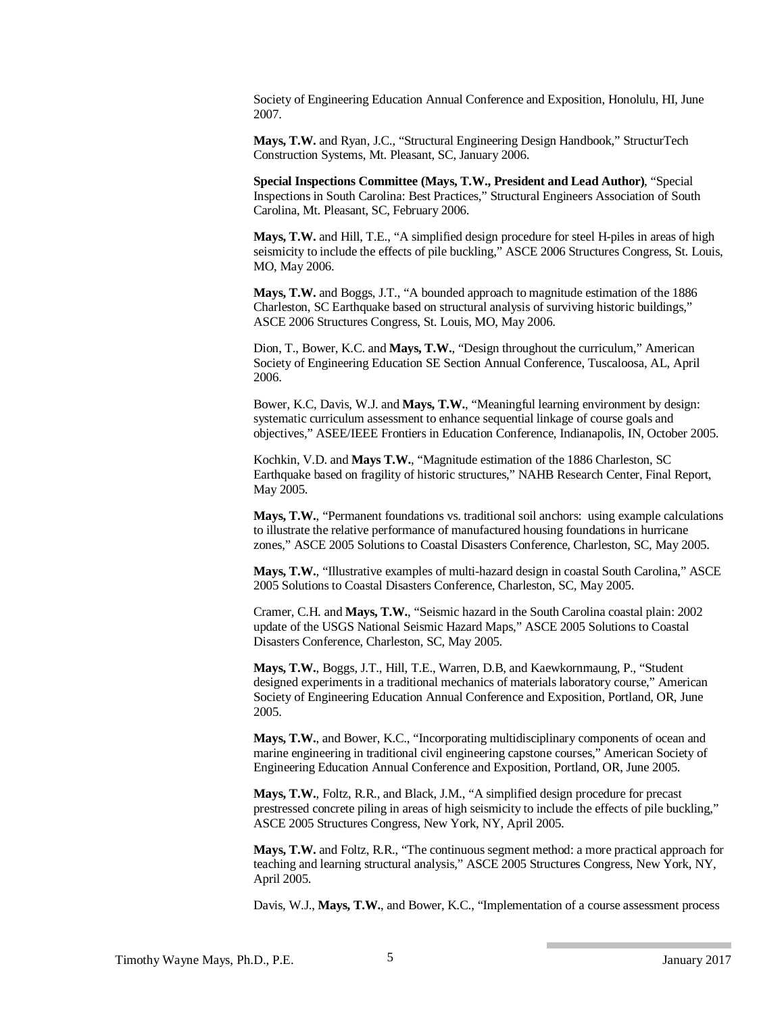Society of Engineering Education Annual Conference and Exposition, Honolulu, HI, June 2007.

**Mays, T.W.** and Ryan, J.C., "Structural Engineering Design Handbook," StructurTech Construction Systems, Mt. Pleasant, SC, January 2006.

**Special Inspections Committee (Mays, T.W., President and Lead Author)**, "Special Inspections in South Carolina: Best Practices," Structural Engineers Association of South Carolina, Mt. Pleasant, SC, February 2006.

**Mays, T.W.** and Hill, T.E., "A simplified design procedure for steel H-piles in areas of high seismicity to include the effects of pile buckling," ASCE 2006 Structures Congress, St. Louis, MO, May 2006.

**Mays, T.W.** and Boggs, J.T., "A bounded approach to magnitude estimation of the 1886 Charleston, SC Earthquake based on structural analysis of surviving historic buildings," ASCE 2006 Structures Congress, St. Louis, MO, May 2006.

Dion, T., Bower, K.C. and **Mays, T.W.**, "Design throughout the curriculum," American Society of Engineering Education SE Section Annual Conference, Tuscaloosa, AL, April 2006.

Bower, K.C, Davis, W.J. and **Mays, T.W.**, "Meaningful learning environment by design: systematic curriculum assessment to enhance sequential linkage of course goals and objectives," ASEE/IEEE Frontiers in Education Conference, Indianapolis, IN, October 2005.

Kochkin, V.D. and **Mays T.W.**, "Magnitude estimation of the 1886 Charleston, SC Earthquake based on fragility of historic structures," NAHB Research Center, Final Report, May 2005.

**Mays, T.W.**, "Permanent foundations vs. traditional soil anchors: using example calculations to illustrate the relative performance of manufactured housing foundations in hurricane zones," ASCE 2005 Solutions to Coastal Disasters Conference, Charleston, SC, May 2005.

**Mays, T.W.**, "Illustrative examples of multi-hazard design in coastal South Carolina," ASCE 2005 Solutions to Coastal Disasters Conference, Charleston, SC, May 2005.

Cramer, C.H. and **Mays, T.W.**, "Seismic hazard in the South Carolina coastal plain: 2002 update of the USGS National Seismic Hazard Maps," ASCE 2005 Solutions to Coastal Disasters Conference, Charleston, SC, May 2005.

**Mays, T.W.**, Boggs, J.T., Hill, T.E., Warren, D.B, and Kaewkornmaung, P., "Student designed experiments in a traditional mechanics of materials laboratory course," American Society of Engineering Education Annual Conference and Exposition, Portland, OR, June 2005.

**Mays, T.W.**, and Bower, K.C., "Incorporating multidisciplinary components of ocean and marine engineering in traditional civil engineering capstone courses," American Society of Engineering Education Annual Conference and Exposition, Portland, OR, June 2005.

**Mays, T.W.**, Foltz, R.R., and Black, J.M., "A simplified design procedure for precast prestressed concrete piling in areas of high seismicity to include the effects of pile buckling," ASCE 2005 Structures Congress, New York, NY, April 2005.

**Mays, T.W.** and Foltz, R.R., "The continuous segment method: a more practical approach for teaching and learning structural analysis," ASCE 2005 Structures Congress, New York, NY, April 2005.

Davis, W.J., **Mays, T.W.**, and Bower, K.C., "Implementation of a course assessment process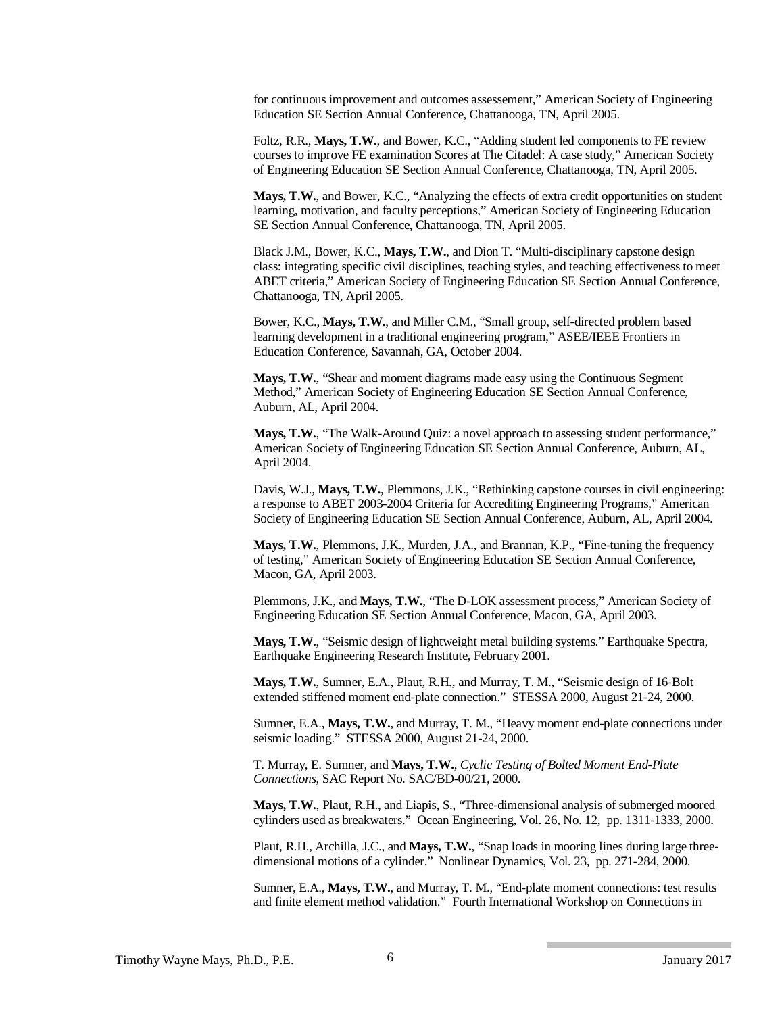for continuous improvement and outcomes assessement," American Society of Engineering Education SE Section Annual Conference, Chattanooga, TN, April 2005.

Foltz, R.R., **Mays, T.W.**, and Bower, K.C., "Adding student led components to FE review courses to improve FE examination Scores at The Citadel: A case study," American Society of Engineering Education SE Section Annual Conference, Chattanooga, TN, April 2005.

**Mays, T.W.**, and Bower, K.C., "Analyzing the effects of extra credit opportunities on student learning, motivation, and faculty perceptions," American Society of Engineering Education SE Section Annual Conference, Chattanooga, TN, April 2005.

Black J.M., Bower, K.C., **Mays, T.W.**, and Dion T. "Multi-disciplinary capstone design class: integrating specific civil disciplines, teaching styles, and teaching effectiveness to meet ABET criteria," American Society of Engineering Education SE Section Annual Conference, Chattanooga, TN, April 2005.

Bower, K.C., **Mays, T.W.**, and Miller C.M., "Small group, self-directed problem based learning development in a traditional engineering program," ASEE/IEEE Frontiers in Education Conference, Savannah, GA, October 2004.

**Mays, T.W.**, "Shear and moment diagrams made easy using the Continuous Segment Method," American Society of Engineering Education SE Section Annual Conference, Auburn, AL, April 2004.

**Mays, T.W.**, "The Walk-Around Quiz: a novel approach to assessing student performance," American Society of Engineering Education SE Section Annual Conference, Auburn, AL, April 2004.

Davis, W.J., **Mays, T.W.**, Plemmons, J.K., "Rethinking capstone courses in civil engineering: a response to ABET 2003-2004 Criteria for Accrediting Engineering Programs," American Society of Engineering Education SE Section Annual Conference, Auburn, AL, April 2004.

**Mays, T.W.**, Plemmons, J.K., Murden, J.A., and Brannan, K.P., "Fine-tuning the frequency of testing," American Society of Engineering Education SE Section Annual Conference, Macon, GA, April 2003.

Plemmons, J.K., and **Mays, T.W.**, "The D-LOK assessment process," American Society of Engineering Education SE Section Annual Conference, Macon, GA, April 2003.

**Mays, T.W.**, "Seismic design of lightweight metal building systems." Earthquake Spectra, Earthquake Engineering Research Institute, February 2001.

**Mays, T.W.**, Sumner, E.A., Plaut, R.H., and Murray, T. M., "Seismic design of 16-Bolt extended stiffened moment end-plate connection." STESSA 2000, August 21-24, 2000.

Sumner, E.A., **Mays, T.W.**, and Murray, T. M., "Heavy moment end-plate connections under seismic loading." STESSA 2000, August 21-24, 2000.

T. Murray, E. Sumner, and **Mays, T.W.**, *Cyclic Testing of Bolted Moment End-Plate Connections*, SAC Report No. SAC/BD-00/21, 2000.

**Mays, T.W.**, Plaut, R.H., and Liapis, S., "Three-dimensional analysis of submerged moored cylinders used as breakwaters." Ocean Engineering, Vol. 26, No. 12, pp. 1311-1333, 2000.

Plaut, R.H., Archilla, J.C., and **Mays, T.W.**, "Snap loads in mooring lines during large threedimensional motions of a cylinder." Nonlinear Dynamics, Vol. 23, pp. 271-284, 2000.

Sumner, E.A., **Mays, T.W.**, and Murray, T. M., "End-plate moment connections: test results and finite element method validation." Fourth International Workshop on Connections in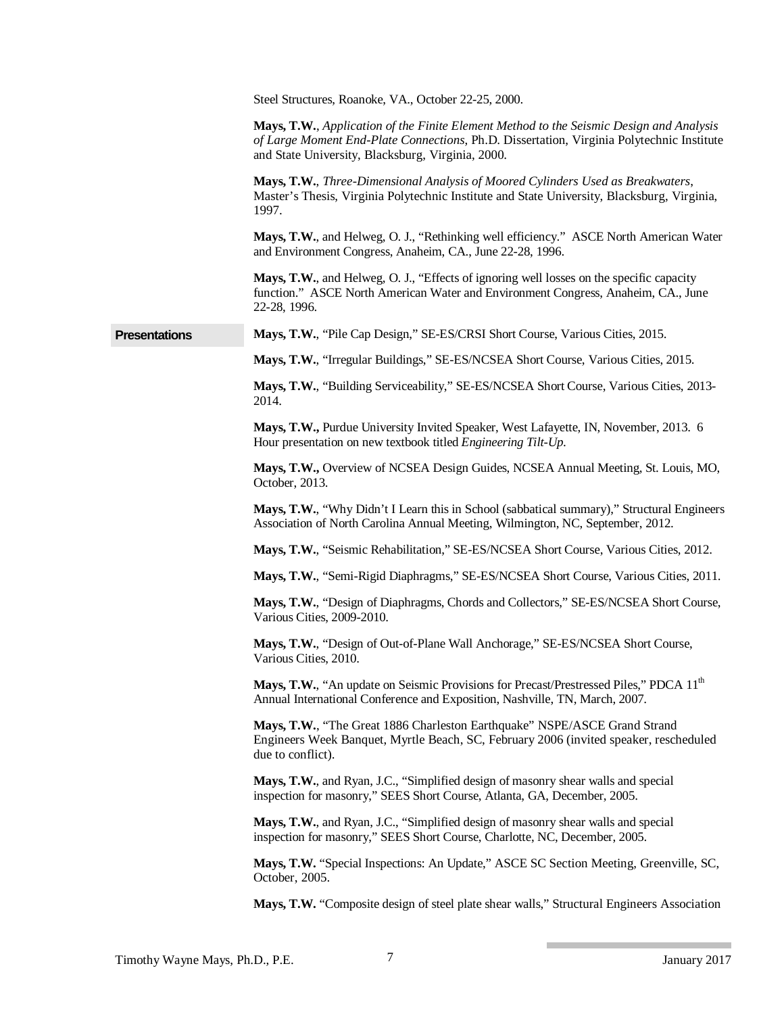|                      | Steel Structures, Roanoke, VA., October 22-25, 2000.                                                                                                                                                                                      |
|----------------------|-------------------------------------------------------------------------------------------------------------------------------------------------------------------------------------------------------------------------------------------|
|                      | Mays, T.W., Application of the Finite Element Method to the Seismic Design and Analysis<br>of Large Moment End-Plate Connections, Ph.D. Dissertation, Virginia Polytechnic Institute<br>and State University, Blacksburg, Virginia, 2000. |
|                      | Mays, T.W., Three-Dimensional Analysis of Moored Cylinders Used as Breakwaters,<br>Master's Thesis, Virginia Polytechnic Institute and State University, Blacksburg, Virginia,<br>1997.                                                   |
|                      | Mays, T.W., and Helweg, O. J., "Rethinking well efficiency." ASCE North American Water<br>and Environment Congress, Anaheim, CA., June 22-28, 1996.                                                                                       |
|                      | Mays, T.W., and Helweg, O. J., "Effects of ignoring well losses on the specific capacity<br>function." ASCE North American Water and Environment Congress, Anaheim, CA., June<br>22-28, 1996.                                             |
| <b>Presentations</b> | Mays, T.W., "Pile Cap Design," SE-ES/CRSI Short Course, Various Cities, 2015.                                                                                                                                                             |
|                      | Mays, T.W., "Irregular Buildings," SE-ES/NCSEA Short Course, Various Cities, 2015.                                                                                                                                                        |
|                      | Mays, T.W., "Building Serviceability," SE-ES/NCSEA Short Course, Various Cities, 2013-<br>2014.                                                                                                                                           |
|                      | Mays, T.W., Purdue University Invited Speaker, West Lafayette, IN, November, 2013. 6<br>Hour presentation on new textbook titled Engineering Tilt-Up.                                                                                     |
|                      | Mays, T.W., Overview of NCSEA Design Guides, NCSEA Annual Meeting, St. Louis, MO,<br>October, 2013.                                                                                                                                       |
|                      | Mays, T.W., "Why Didn't I Learn this in School (sabbatical summary)," Structural Engineers<br>Association of North Carolina Annual Meeting, Wilmington, NC, September, 2012.                                                              |
|                      | Mays, T.W., "Seismic Rehabilitation," SE-ES/NCSEA Short Course, Various Cities, 2012.                                                                                                                                                     |
|                      | Mays, T.W., "Semi-Rigid Diaphragms," SE-ES/NCSEA Short Course, Various Cities, 2011.                                                                                                                                                      |
|                      | Mays, T.W., "Design of Diaphragms, Chords and Collectors," SE-ES/NCSEA Short Course,<br>Various Cities, 2009-2010.                                                                                                                        |
|                      | Mays, T.W., "Design of Out-of-Plane Wall Anchorage," SE-ES/NCSEA Short Course,<br>Various Cities, 2010.                                                                                                                                   |
|                      | Mays, T.W., "An update on Seismic Provisions for Precast/Prestressed Piles," PDCA 11 <sup>th</sup><br>Annual International Conference and Exposition, Nashville, TN, March, 2007.                                                         |
|                      | Mays, T.W., "The Great 1886 Charleston Earthquake" NSPE/ASCE Grand Strand<br>Engineers Week Banquet, Myrtle Beach, SC, February 2006 (invited speaker, rescheduled<br>due to conflict).                                                   |
|                      | Mays, T.W., and Ryan, J.C., "Simplified design of masonry shear walls and special<br>inspection for masonry," SEES Short Course, Atlanta, GA, December, 2005.                                                                             |
|                      | Mays, T.W., and Ryan, J.C., "Simplified design of masonry shear walls and special<br>inspection for masonry," SEES Short Course, Charlotte, NC, December, 2005.                                                                           |
|                      | Mays, T.W. "Special Inspections: An Update," ASCE SC Section Meeting, Greenville, SC,<br>October, 2005.                                                                                                                                   |
|                      | Mays, T.W. "Composite design of steel plate shear walls," Structural Engineers Association                                                                                                                                                |

**The Common**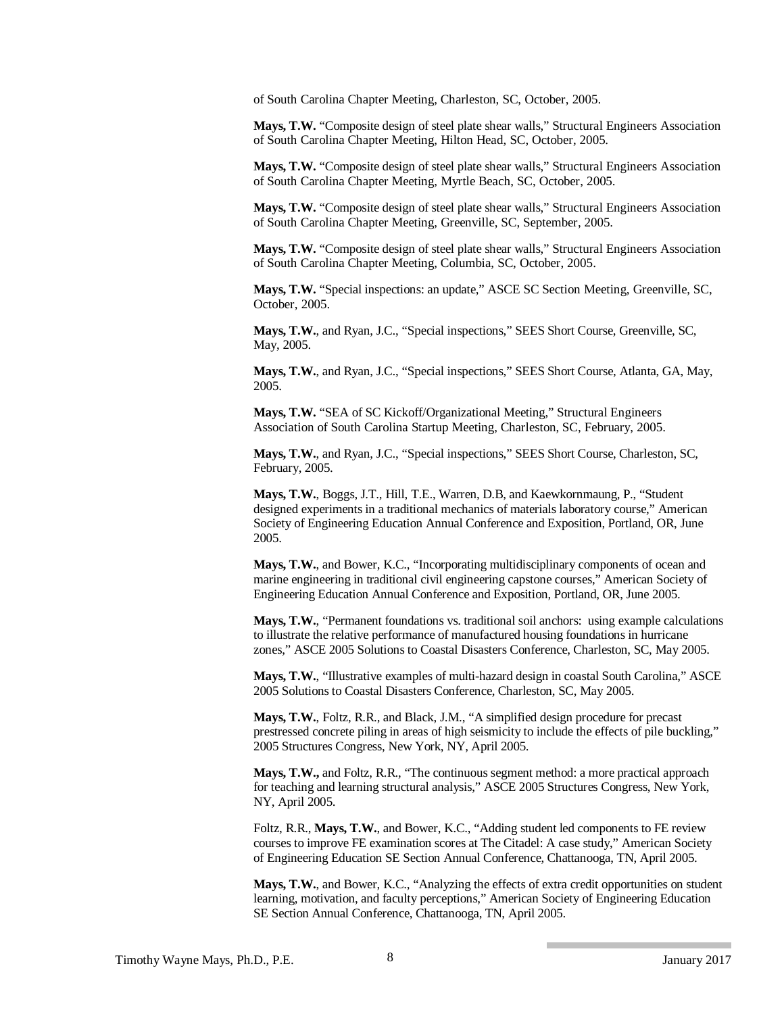of South Carolina Chapter Meeting, Charleston, SC, October, 2005.

**Mays, T.W.** "Composite design of steel plate shear walls," Structural Engineers Association of South Carolina Chapter Meeting, Hilton Head, SC, October, 2005.

**Mays, T.W.** "Composite design of steel plate shear walls," Structural Engineers Association of South Carolina Chapter Meeting, Myrtle Beach, SC, October, 2005.

**Mays, T.W.** "Composite design of steel plate shear walls," Structural Engineers Association of South Carolina Chapter Meeting, Greenville, SC, September, 2005.

**Mays, T.W.** "Composite design of steel plate shear walls," Structural Engineers Association of South Carolina Chapter Meeting, Columbia, SC, October, 2005.

**Mays, T.W.** "Special inspections: an update," ASCE SC Section Meeting, Greenville, SC, October, 2005.

**Mays, T.W.**, and Ryan, J.C., "Special inspections," SEES Short Course, Greenville, SC, May, 2005.

**Mays, T.W.**, and Ryan, J.C., "Special inspections," SEES Short Course, Atlanta, GA, May, 2005.

**Mays, T.W.** "SEA of SC Kickoff/Organizational Meeting," Structural Engineers Association of South Carolina Startup Meeting, Charleston, SC, February, 2005.

**Mays, T.W.**, and Ryan, J.C., "Special inspections," SEES Short Course, Charleston, SC, February, 2005.

**Mays, T.W.**, Boggs, J.T., Hill, T.E., Warren, D.B, and Kaewkornmaung, P., "Student designed experiments in a traditional mechanics of materials laboratory course," American Society of Engineering Education Annual Conference and Exposition, Portland, OR, June 2005.

**Mays, T.W.**, and Bower, K.C., "Incorporating multidisciplinary components of ocean and marine engineering in traditional civil engineering capstone courses," American Society of Engineering Education Annual Conference and Exposition, Portland, OR, June 2005.

**Mays, T.W.**, "Permanent foundations vs. traditional soil anchors: using example calculations to illustrate the relative performance of manufactured housing foundations in hurricane zones," ASCE 2005 Solutions to Coastal Disasters Conference, Charleston, SC, May 2005.

**Mays, T.W.**, "Illustrative examples of multi-hazard design in coastal South Carolina," ASCE 2005 Solutions to Coastal Disasters Conference, Charleston, SC, May 2005.

**Mays, T.W.**, Foltz, R.R., and Black, J.M., "A simplified design procedure for precast prestressed concrete piling in areas of high seismicity to include the effects of pile buckling," 2005 Structures Congress, New York, NY, April 2005.

**Mays, T.W.,** and Foltz, R.R., "The continuous segment method: a more practical approach for teaching and learning structural analysis," ASCE 2005 Structures Congress, New York, NY, April 2005.

Foltz, R.R., **Mays, T.W.**, and Bower, K.C., "Adding student led components to FE review courses to improve FE examination scores at The Citadel: A case study," American Society of Engineering Education SE Section Annual Conference, Chattanooga, TN, April 2005.

**Mays, T.W.**, and Bower, K.C., "Analyzing the effects of extra credit opportunities on student learning, motivation, and faculty perceptions," American Society of Engineering Education SE Section Annual Conference, Chattanooga, TN, April 2005.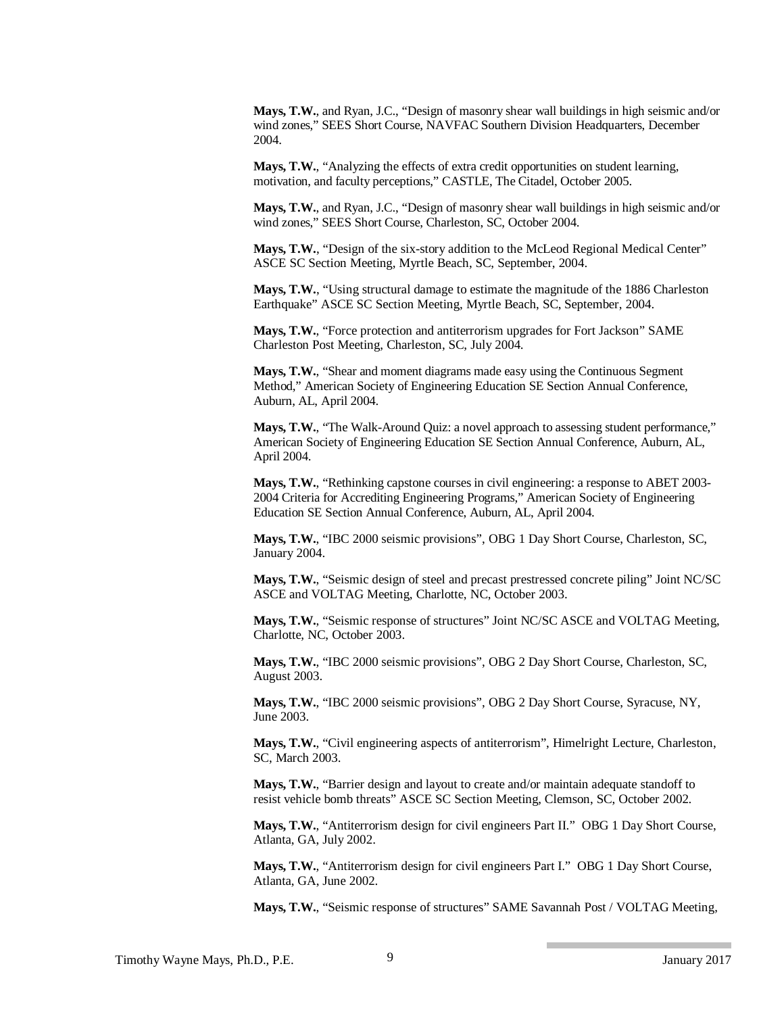**Mays, T.W.**, and Ryan, J.C., "Design of masonry shear wall buildings in high seismic and/or wind zones," SEES Short Course, NAVFAC Southern Division Headquarters, December 2004.

**Mays, T.W.**, "Analyzing the effects of extra credit opportunities on student learning, motivation, and faculty perceptions," CASTLE, The Citadel, October 2005.

**Mays, T.W.**, and Ryan, J.C., "Design of masonry shear wall buildings in high seismic and/or wind zones," SEES Short Course, Charleston, SC, October 2004.

**Mays, T.W.**, "Design of the six-story addition to the McLeod Regional Medical Center" ASCE SC Section Meeting, Myrtle Beach, SC, September, 2004.

**Mays, T.W.**, "Using structural damage to estimate the magnitude of the 1886 Charleston Earthquake" ASCE SC Section Meeting, Myrtle Beach, SC, September, 2004.

**Mays, T.W.**, "Force protection and antiterrorism upgrades for Fort Jackson" SAME Charleston Post Meeting, Charleston, SC, July 2004.

**Mays, T.W.**, "Shear and moment diagrams made easy using the Continuous Segment Method," American Society of Engineering Education SE Section Annual Conference, Auburn, AL, April 2004.

**Mays, T.W.**, "The Walk-Around Quiz: a novel approach to assessing student performance," American Society of Engineering Education SE Section Annual Conference, Auburn, AL, April 2004.

**Mays, T.W.**, "Rethinking capstone courses in civil engineering: a response to ABET 2003- 2004 Criteria for Accrediting Engineering Programs," American Society of Engineering Education SE Section Annual Conference, Auburn, AL, April 2004.

**Mays, T.W.**, "IBC 2000 seismic provisions", OBG 1 Day Short Course, Charleston, SC, January 2004.

**Mays, T.W.**, "Seismic design of steel and precast prestressed concrete piling" Joint NC/SC ASCE and VOLTAG Meeting, Charlotte, NC, October 2003.

**Mays, T.W.**, "Seismic response of structures" Joint NC/SC ASCE and VOLTAG Meeting, Charlotte, NC, October 2003.

**Mays, T.W.**, "IBC 2000 seismic provisions", OBG 2 Day Short Course, Charleston, SC, August 2003.

**Mays, T.W.**, "IBC 2000 seismic provisions", OBG 2 Day Short Course, Syracuse, NY, June 2003.

**Mays, T.W.**, "Civil engineering aspects of antiterrorism", Himelright Lecture, Charleston, SC, March 2003.

**Mays, T.W.**, "Barrier design and layout to create and/or maintain adequate standoff to resist vehicle bomb threats" ASCE SC Section Meeting, Clemson, SC, October 2002.

**Mays, T.W.**, "Antiterrorism design for civil engineers Part II." OBG 1 Day Short Course, Atlanta, GA, July 2002.

**Mays, T.W.**, "Antiterrorism design for civil engineers Part I." OBG 1 Day Short Course, Atlanta, GA, June 2002.

**Mays, T.W.**, "Seismic response of structures" SAME Savannah Post / VOLTAG Meeting,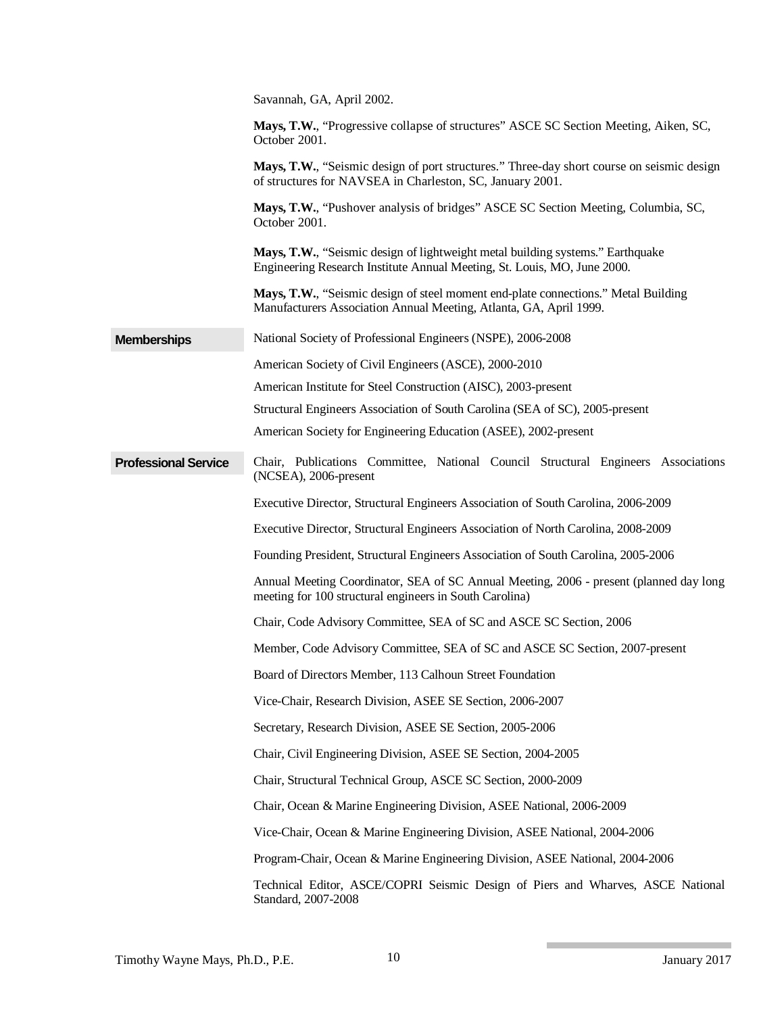|                             | Savannah, GA, April 2002.                                                                                                                                  |
|-----------------------------|------------------------------------------------------------------------------------------------------------------------------------------------------------|
|                             | Mays, T.W., "Progressive collapse of structures" ASCE SC Section Meeting, Aiken, SC,<br>October 2001.                                                      |
|                             | Mays, T.W., "Seismic design of port structures." Three-day short course on seismic design<br>of structures for NAVSEA in Charleston, SC, January 2001.     |
|                             | Mays, T.W., "Pushover analysis of bridges" ASCE SC Section Meeting, Columbia, SC,<br>October 2001.                                                         |
|                             | Mays, T.W., "Seismic design of lightweight metal building systems." Earthquake<br>Engineering Research Institute Annual Meeting, St. Louis, MO, June 2000. |
|                             | Mays, T.W., "Seismic design of steel moment end-plate connections." Metal Building<br>Manufacturers Association Annual Meeting, Atlanta, GA, April 1999.   |
| <b>Memberships</b>          | National Society of Professional Engineers (NSPE), 2006-2008                                                                                               |
|                             | American Society of Civil Engineers (ASCE), 2000-2010                                                                                                      |
|                             | American Institute for Steel Construction (AISC), 2003-present                                                                                             |
|                             | Structural Engineers Association of South Carolina (SEA of SC), 2005-present                                                                               |
|                             | American Society for Engineering Education (ASEE), 2002-present                                                                                            |
| <b>Professional Service</b> | Chair, Publications Committee, National Council Structural Engineers Associations<br>(NCSEA), 2006-present                                                 |
|                             | Executive Director, Structural Engineers Association of South Carolina, 2006-2009                                                                          |
|                             | Executive Director, Structural Engineers Association of North Carolina, 2008-2009                                                                          |
|                             | Founding President, Structural Engineers Association of South Carolina, 2005-2006                                                                          |
|                             | Annual Meeting Coordinator, SEA of SC Annual Meeting, 2006 - present (planned day long<br>meeting for 100 structural engineers in South Carolina)          |
|                             | Chair, Code Advisory Committee, SEA of SC and ASCE SC Section, 2006                                                                                        |
|                             | Member, Code Advisory Committee, SEA of SC and ASCE SC Section, 2007-present                                                                               |
|                             | Board of Directors Member, 113 Calhoun Street Foundation                                                                                                   |
|                             | Vice-Chair, Research Division, ASEE SE Section, 2006-2007                                                                                                  |
|                             | Secretary, Research Division, ASEE SE Section, 2005-2006                                                                                                   |
|                             | Chair, Civil Engineering Division, ASEE SE Section, 2004-2005                                                                                              |
|                             | Chair, Structural Technical Group, ASCE SC Section, 2000-2009                                                                                              |
|                             | Chair, Ocean & Marine Engineering Division, ASEE National, 2006-2009                                                                                       |
|                             | Vice-Chair, Ocean & Marine Engineering Division, ASEE National, 2004-2006                                                                                  |
|                             | Program-Chair, Ocean & Marine Engineering Division, ASEE National, 2004-2006                                                                               |
|                             |                                                                                                                                                            |
|                             | Technical Editor, ASCE/COPRI Seismic Design of Piers and Wharves, ASCE National<br>Standard, 2007-2008                                                     |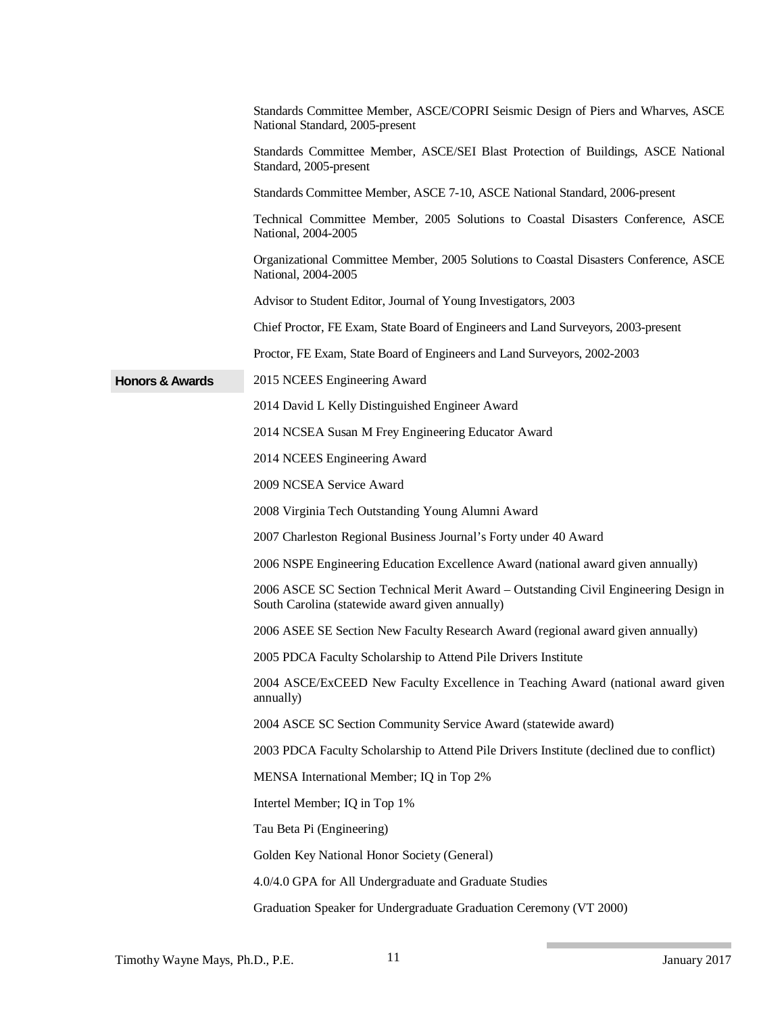|                            | Standards Committee Member, ASCE/COPRI Seismic Design of Piers and Wharves, ASCE<br>National Standard, 2005-present                     |
|----------------------------|-----------------------------------------------------------------------------------------------------------------------------------------|
|                            | Standards Committee Member, ASCE/SEI Blast Protection of Buildings, ASCE National<br>Standard, 2005-present                             |
|                            | Standards Committee Member, ASCE 7-10, ASCE National Standard, 2006-present                                                             |
|                            | Technical Committee Member, 2005 Solutions to Coastal Disasters Conference, ASCE<br>National, 2004-2005                                 |
|                            | Organizational Committee Member, 2005 Solutions to Coastal Disasters Conference, ASCE<br>National, 2004-2005                            |
|                            | Advisor to Student Editor, Journal of Young Investigators, 2003                                                                         |
|                            | Chief Proctor, FE Exam, State Board of Engineers and Land Surveyors, 2003-present                                                       |
|                            | Proctor, FE Exam, State Board of Engineers and Land Surveyors, 2002-2003                                                                |
| <b>Honors &amp; Awards</b> | 2015 NCEES Engineering Award                                                                                                            |
|                            | 2014 David L Kelly Distinguished Engineer Award                                                                                         |
|                            | 2014 NCSEA Susan M Frey Engineering Educator Award                                                                                      |
|                            | 2014 NCEES Engineering Award                                                                                                            |
|                            | 2009 NCSEA Service Award                                                                                                                |
|                            | 2008 Virginia Tech Outstanding Young Alumni Award                                                                                       |
|                            | 2007 Charleston Regional Business Journal's Forty under 40 Award                                                                        |
|                            | 2006 NSPE Engineering Education Excellence Award (national award given annually)                                                        |
|                            | 2006 ASCE SC Section Technical Merit Award – Outstanding Civil Engineering Design in<br>South Carolina (statewide award given annually) |
|                            | 2006 ASEE SE Section New Faculty Research Award (regional award given annually)                                                         |
|                            | 2005 PDCA Faculty Scholarship to Attend Pile Drivers Institute                                                                          |
|                            | 2004 ASCE/ExCEED New Faculty Excellence in Teaching Award (national award given<br>annually)                                            |
|                            | 2004 ASCE SC Section Community Service Award (statewide award)                                                                          |
|                            | 2003 PDCA Faculty Scholarship to Attend Pile Drivers Institute (declined due to conflict)                                               |
|                            | MENSA International Member; IQ in Top 2%                                                                                                |
|                            | Intertel Member; IQ in Top 1%                                                                                                           |
|                            | Tau Beta Pi (Engineering)                                                                                                               |
|                            | Golden Key National Honor Society (General)                                                                                             |
|                            | 4.0/4.0 GPA for All Undergraduate and Graduate Studies                                                                                  |
|                            | Graduation Speaker for Undergraduate Graduation Ceremony (VT 2000)                                                                      |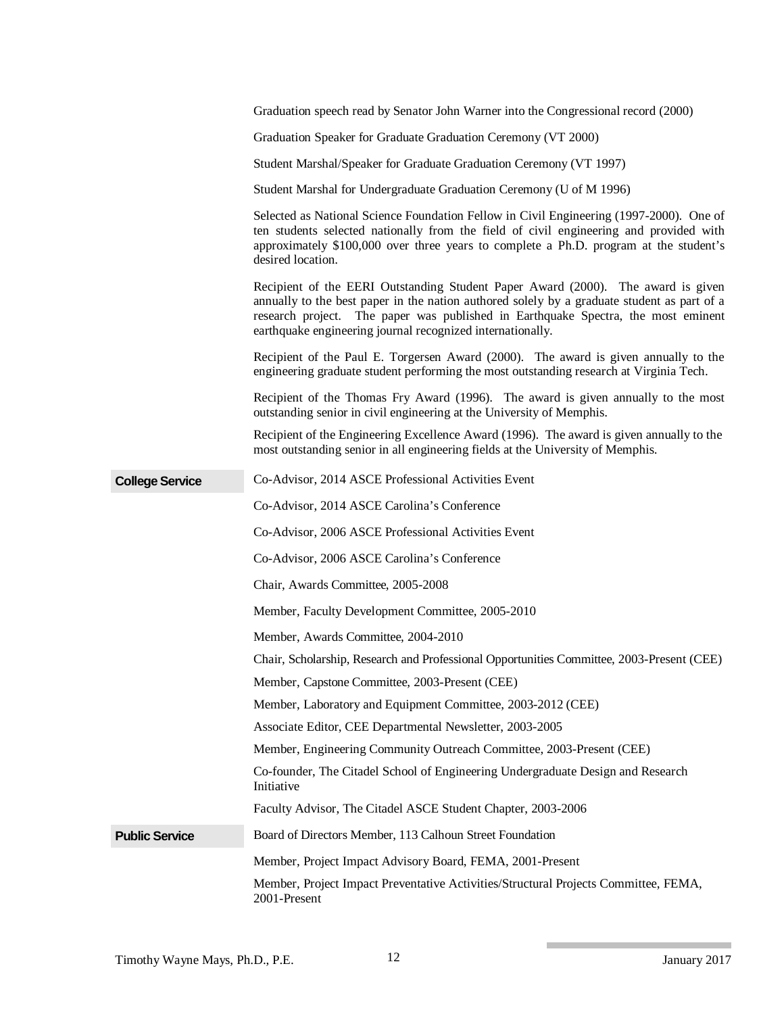|                        | Graduation speech read by Senator John Warner into the Congressional record (2000)                                                                                                                                                                                                                                                 |
|------------------------|------------------------------------------------------------------------------------------------------------------------------------------------------------------------------------------------------------------------------------------------------------------------------------------------------------------------------------|
|                        | Graduation Speaker for Graduate Graduation Ceremony (VT 2000)                                                                                                                                                                                                                                                                      |
|                        | Student Marshal/Speaker for Graduate Graduation Ceremony (VT 1997)                                                                                                                                                                                                                                                                 |
|                        | Student Marshal for Undergraduate Graduation Ceremony (U of M 1996)                                                                                                                                                                                                                                                                |
|                        | Selected as National Science Foundation Fellow in Civil Engineering (1997-2000). One of<br>ten students selected nationally from the field of civil engineering and provided with<br>approximately \$100,000 over three years to complete a Ph.D. program at the student's<br>desired location.                                    |
|                        | Recipient of the EERI Outstanding Student Paper Award (2000). The award is given<br>annually to the best paper in the nation authored solely by a graduate student as part of a<br>research project. The paper was published in Earthquake Spectra, the most eminent<br>earthquake engineering journal recognized internationally. |
|                        | Recipient of the Paul E. Torgersen Award (2000). The award is given annually to the<br>engineering graduate student performing the most outstanding research at Virginia Tech.                                                                                                                                                     |
|                        | Recipient of the Thomas Fry Award (1996). The award is given annually to the most<br>outstanding senior in civil engineering at the University of Memphis.                                                                                                                                                                         |
|                        | Recipient of the Engineering Excellence Award (1996). The award is given annually to the<br>most outstanding senior in all engineering fields at the University of Memphis.                                                                                                                                                        |
| <b>College Service</b> | Co-Advisor, 2014 ASCE Professional Activities Event                                                                                                                                                                                                                                                                                |
|                        | Co-Advisor, 2014 ASCE Carolina's Conference                                                                                                                                                                                                                                                                                        |
|                        | Co-Advisor, 2006 ASCE Professional Activities Event                                                                                                                                                                                                                                                                                |
|                        | Co-Advisor, 2006 ASCE Carolina's Conference                                                                                                                                                                                                                                                                                        |
|                        | Chair, Awards Committee, 2005-2008                                                                                                                                                                                                                                                                                                 |
|                        | Member, Faculty Development Committee, 2005-2010                                                                                                                                                                                                                                                                                   |
|                        | Member, Awards Committee, 2004-2010                                                                                                                                                                                                                                                                                                |
|                        | Chair, Scholarship, Research and Professional Opportunities Committee, 2003-Present (CEE)                                                                                                                                                                                                                                          |
|                        | Member, Capstone Committee, 2003-Present (CEE)                                                                                                                                                                                                                                                                                     |
|                        | Member, Laboratory and Equipment Committee, 2003-2012 (CEE)                                                                                                                                                                                                                                                                        |
|                        | Associate Editor, CEE Departmental Newsletter, 2003-2005                                                                                                                                                                                                                                                                           |
|                        | Member, Engineering Community Outreach Committee, 2003-Present (CEE)                                                                                                                                                                                                                                                               |
|                        | Co-founder, The Citadel School of Engineering Undergraduate Design and Research<br>Initiative                                                                                                                                                                                                                                      |
|                        | Faculty Advisor, The Citadel ASCE Student Chapter, 2003-2006                                                                                                                                                                                                                                                                       |
| <b>Public Service</b>  | Board of Directors Member, 113 Calhoun Street Foundation                                                                                                                                                                                                                                                                           |
|                        | Member, Project Impact Advisory Board, FEMA, 2001-Present                                                                                                                                                                                                                                                                          |
|                        | Member, Project Impact Preventative Activities/Structural Projects Committee, FEMA,<br>2001-Present                                                                                                                                                                                                                                |

**The Common**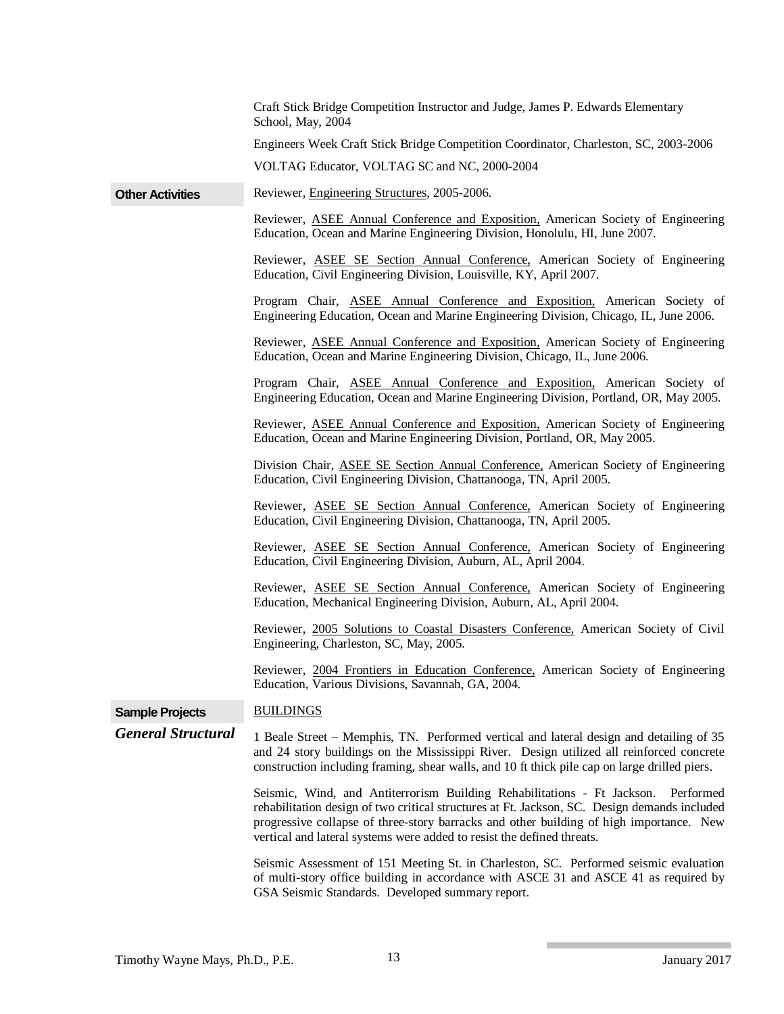|                           | VOLTAG Educator, VOLTAG SC and NC, 2000-2004                                                                                                                                                                                                                                         |
|---------------------------|--------------------------------------------------------------------------------------------------------------------------------------------------------------------------------------------------------------------------------------------------------------------------------------|
| <b>Other Activities</b>   | Reviewer, Engineering Structures, 2005-2006.                                                                                                                                                                                                                                         |
|                           | Reviewer, ASEE Annual Conference and Exposition, American Society of Engineering<br>Education, Ocean and Marine Engineering Division, Honolulu, HI, June 2007.                                                                                                                       |
|                           | Reviewer, ASEE SE Section Annual Conference, American Society of Engineering<br>Education, Civil Engineering Division, Louisville, KY, April 2007.                                                                                                                                   |
|                           | Program Chair, ASEE Annual Conference and Exposition, American Society of<br>Engineering Education, Ocean and Marine Engineering Division, Chicago, IL, June 2006.                                                                                                                   |
|                           | Reviewer, ASEE Annual Conference and Exposition, American Society of Engineering<br>Education, Ocean and Marine Engineering Division, Chicago, IL, June 2006.                                                                                                                        |
|                           | Program Chair, ASEE Annual Conference and Exposition, American Society of<br>Engineering Education, Ocean and Marine Engineering Division, Portland, OR, May 2005.                                                                                                                   |
|                           | Reviewer, ASEE Annual Conference and Exposition, American Society of Engineering<br>Education, Ocean and Marine Engineering Division, Portland, OR, May 2005.                                                                                                                        |
|                           | Division Chair, ASEE SE Section Annual Conference, American Society of Engineering<br>Education, Civil Engineering Division, Chattanooga, TN, April 2005.                                                                                                                            |
|                           | Reviewer, ASEE SE Section Annual Conference, American Society of Engineering<br>Education, Civil Engineering Division, Chattanooga, TN, April 2005.                                                                                                                                  |
|                           | Reviewer, ASEE SE Section Annual Conference, American Society of Engineering<br>Education, Civil Engineering Division, Auburn, AL, April 2004.                                                                                                                                       |
|                           | Reviewer, ASEE SE Section Annual Conference, American Society of Engineering<br>Education, Mechanical Engineering Division, Auburn, AL, April 2004.                                                                                                                                  |
|                           | Reviewer, 2005 Solutions to Coastal Disasters Conference, American Society of Civil<br>Engineering, Charleston, SC, May, 2005.                                                                                                                                                       |
|                           | Reviewer, 2004 Frontiers in Education Conference, American Society of Engineering<br>Education, Various Divisions, Savannah, GA, 2004.                                                                                                                                               |
| <b>Sample Projects</b>    | <b>BUILDINGS</b>                                                                                                                                                                                                                                                                     |
| <b>General Structural</b> | 1 Beale Street – Memphis, TN. Performed vertical and lateral design and detailing of 35<br>and 24 story buildings on the Mississippi River. Design utilized all reinforced concrete<br>construction including framing, shear walls, and 10 ft thick pile cap on large drilled piers. |
|                           | Seismic, Wind, and Antiterrorism Building Rehabilitations - Ft Jackson.<br>Performed<br>rehabilitation design of two critical structures at Ft. Jackson, SC. Design demands included                                                                                                 |

Craft Stick Bridge Competition Instructor and Judge, James P. Edwards Elementary

Engineers Week Craft Stick Bridge Competition Coordinator, Charleston, SC, 2003-2006

School, May, 2004

vertical and lateral systems were added to resist the defined threats. Seismic Assessment of 151 Meeting St. in Charleston, SC. Performed seismic evaluation of multi-story office building in accordance with ASCE 31 and ASCE 41 as required by GSA Seismic Standards. Developed summary report.

progressive collapse of three-story barracks and other building of high importance. New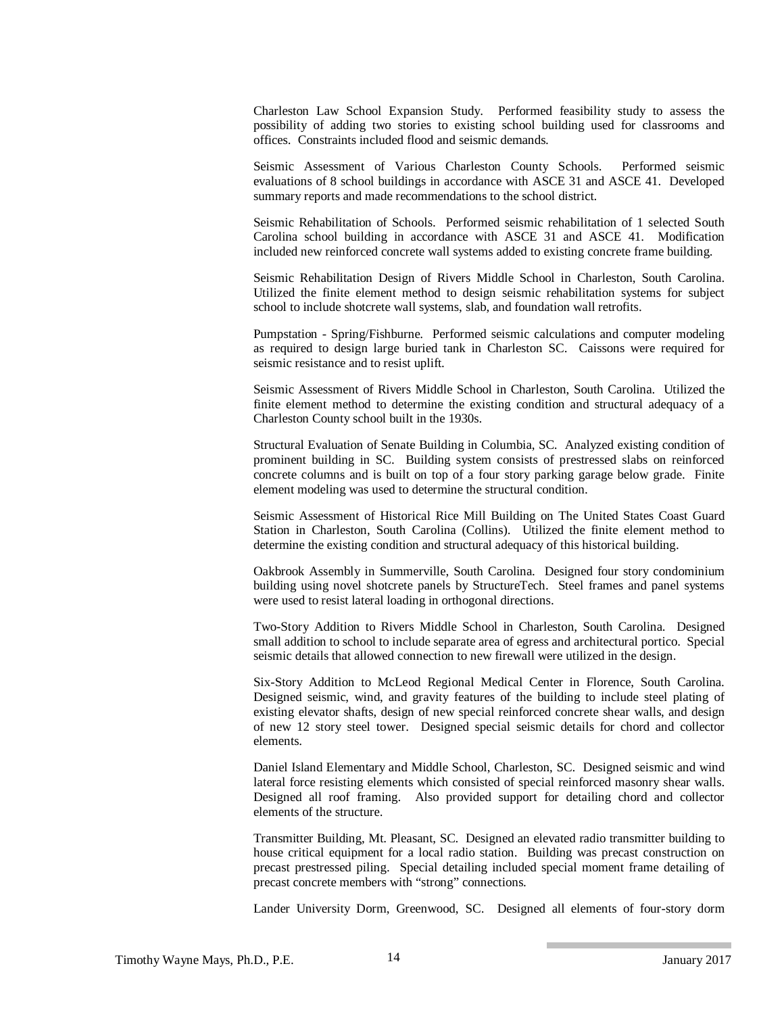Charleston Law School Expansion Study. Performed feasibility study to assess the possibility of adding two stories to existing school building used for classrooms and offices. Constraints included flood and seismic demands.

Seismic Assessment of Various Charleston County Schools. Performed seismic evaluations of 8 school buildings in accordance with ASCE 31 and ASCE 41. Developed summary reports and made recommendations to the school district.

Seismic Rehabilitation of Schools. Performed seismic rehabilitation of 1 selected South Carolina school building in accordance with ASCE 31 and ASCE 41. Modification included new reinforced concrete wall systems added to existing concrete frame building.

Seismic Rehabilitation Design of Rivers Middle School in Charleston, South Carolina. Utilized the finite element method to design seismic rehabilitation systems for subject school to include shotcrete wall systems, slab, and foundation wall retrofits.

Pumpstation - Spring/Fishburne. Performed seismic calculations and computer modeling as required to design large buried tank in Charleston SC. Caissons were required for seismic resistance and to resist uplift.

Seismic Assessment of Rivers Middle School in Charleston, South Carolina. Utilized the finite element method to determine the existing condition and structural adequacy of a Charleston County school built in the 1930s.

Structural Evaluation of Senate Building in Columbia, SC. Analyzed existing condition of prominent building in SC. Building system consists of prestressed slabs on reinforced concrete columns and is built on top of a four story parking garage below grade. Finite element modeling was used to determine the structural condition.

Seismic Assessment of Historical Rice Mill Building on The United States Coast Guard Station in Charleston, South Carolina (Collins). Utilized the finite element method to determine the existing condition and structural adequacy of this historical building.

Oakbrook Assembly in Summerville, South Carolina. Designed four story condominium building using novel shotcrete panels by StructureTech. Steel frames and panel systems were used to resist lateral loading in orthogonal directions.

Two-Story Addition to Rivers Middle School in Charleston, South Carolina. Designed small addition to school to include separate area of egress and architectural portico. Special seismic details that allowed connection to new firewall were utilized in the design.

Six-Story Addition to McLeod Regional Medical Center in Florence, South Carolina. Designed seismic, wind, and gravity features of the building to include steel plating of existing elevator shafts, design of new special reinforced concrete shear walls, and design of new 12 story steel tower. Designed special seismic details for chord and collector elements.

Daniel Island Elementary and Middle School, Charleston, SC. Designed seismic and wind lateral force resisting elements which consisted of special reinforced masonry shear walls. Designed all roof framing. Also provided support for detailing chord and collector elements of the structure.

Transmitter Building, Mt. Pleasant, SC. Designed an elevated radio transmitter building to house critical equipment for a local radio station. Building was precast construction on precast prestressed piling. Special detailing included special moment frame detailing of precast concrete members with "strong" connections.

Lander University Dorm, Greenwood, SC. Designed all elements of four-story dorm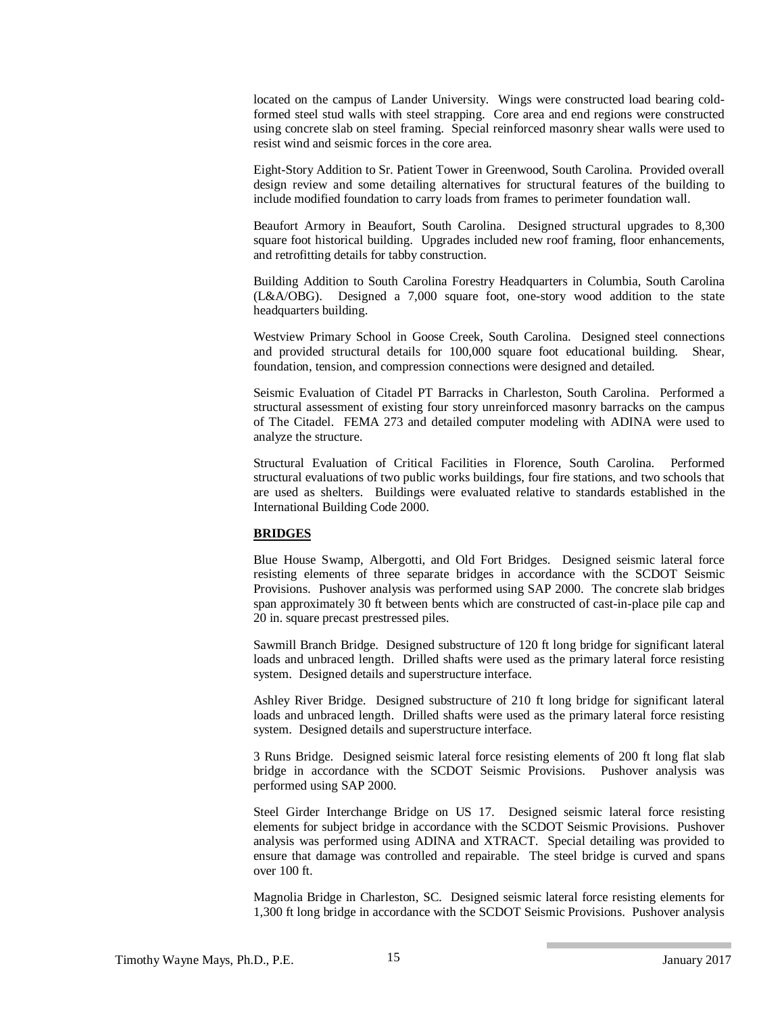located on the campus of Lander University. Wings were constructed load bearing coldformed steel stud walls with steel strapping. Core area and end regions were constructed using concrete slab on steel framing. Special reinforced masonry shear walls were used to resist wind and seismic forces in the core area.

Eight-Story Addition to Sr. Patient Tower in Greenwood, South Carolina. Provided overall design review and some detailing alternatives for structural features of the building to include modified foundation to carry loads from frames to perimeter foundation wall.

Beaufort Armory in Beaufort, South Carolina. Designed structural upgrades to 8,300 square foot historical building. Upgrades included new roof framing, floor enhancements, and retrofitting details for tabby construction.

Building Addition to South Carolina Forestry Headquarters in Columbia, South Carolina (L&A/OBG). Designed a 7,000 square foot, one-story wood addition to the state headquarters building.

Westview Primary School in Goose Creek, South Carolina. Designed steel connections and provided structural details for 100,000 square foot educational building. Shear, foundation, tension, and compression connections were designed and detailed.

Seismic Evaluation of Citadel PT Barracks in Charleston, South Carolina. Performed a structural assessment of existing four story unreinforced masonry barracks on the campus of The Citadel. FEMA 273 and detailed computer modeling with ADINA were used to analyze the structure.

Structural Evaluation of Critical Facilities in Florence, South Carolina. Performed structural evaluations of two public works buildings, four fire stations, and two schools that are used as shelters. Buildings were evaluated relative to standards established in the International Building Code 2000.

# **BRIDGES**

Blue House Swamp, Albergotti, and Old Fort Bridges. Designed seismic lateral force resisting elements of three separate bridges in accordance with the SCDOT Seismic Provisions. Pushover analysis was performed using SAP 2000. The concrete slab bridges span approximately 30 ft between bents which are constructed of cast-in-place pile cap and 20 in. square precast prestressed piles.

Sawmill Branch Bridge. Designed substructure of 120 ft long bridge for significant lateral loads and unbraced length. Drilled shafts were used as the primary lateral force resisting system. Designed details and superstructure interface.

Ashley River Bridge. Designed substructure of 210 ft long bridge for significant lateral loads and unbraced length. Drilled shafts were used as the primary lateral force resisting system. Designed details and superstructure interface.

3 Runs Bridge. Designed seismic lateral force resisting elements of 200 ft long flat slab bridge in accordance with the SCDOT Seismic Provisions. Pushover analysis was performed using SAP 2000.

Steel Girder Interchange Bridge on US 17. Designed seismic lateral force resisting elements for subject bridge in accordance with the SCDOT Seismic Provisions. Pushover analysis was performed using ADINA and XTRACT. Special detailing was provided to ensure that damage was controlled and repairable. The steel bridge is curved and spans over 100 ft.

Magnolia Bridge in Charleston, SC. Designed seismic lateral force resisting elements for 1,300 ft long bridge in accordance with the SCDOT Seismic Provisions. Pushover analysis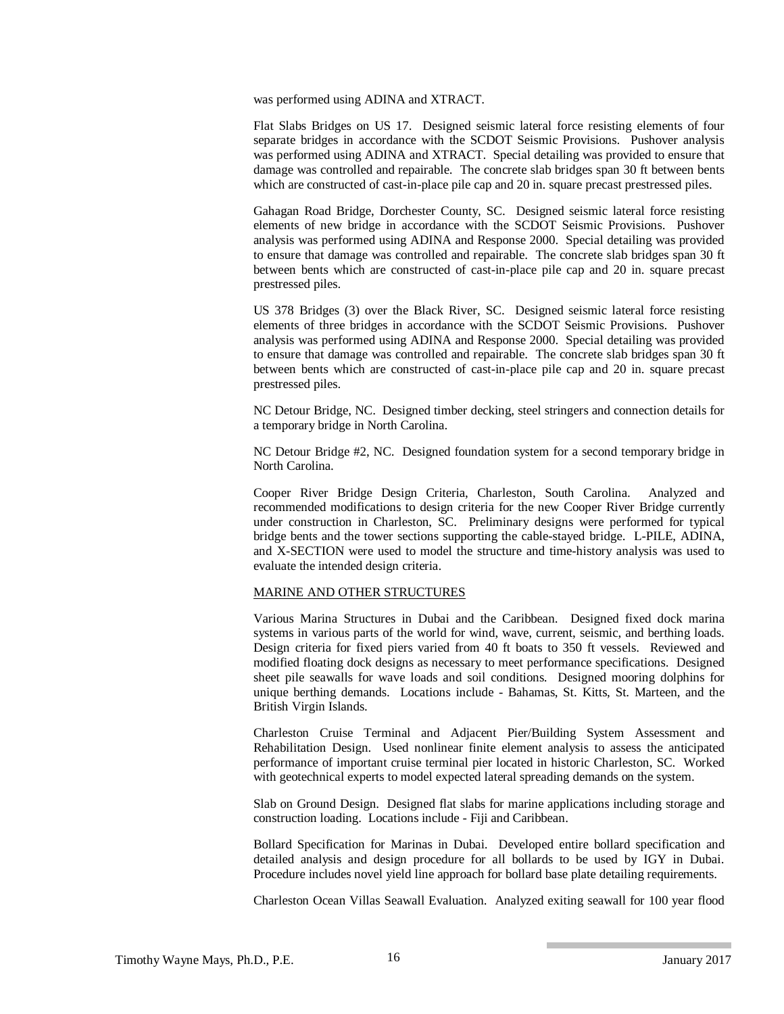was performed using ADINA and XTRACT.

Flat Slabs Bridges on US 17. Designed seismic lateral force resisting elements of four separate bridges in accordance with the SCDOT Seismic Provisions. Pushover analysis was performed using ADINA and XTRACT. Special detailing was provided to ensure that damage was controlled and repairable. The concrete slab bridges span 30 ft between bents which are constructed of cast-in-place pile cap and 20 in. square precast prestressed piles.

Gahagan Road Bridge, Dorchester County, SC. Designed seismic lateral force resisting elements of new bridge in accordance with the SCDOT Seismic Provisions. Pushover analysis was performed using ADINA and Response 2000. Special detailing was provided to ensure that damage was controlled and repairable. The concrete slab bridges span 30 ft between bents which are constructed of cast-in-place pile cap and 20 in. square precast prestressed piles.

US 378 Bridges (3) over the Black River, SC. Designed seismic lateral force resisting elements of three bridges in accordance with the SCDOT Seismic Provisions. Pushover analysis was performed using ADINA and Response 2000. Special detailing was provided to ensure that damage was controlled and repairable. The concrete slab bridges span 30 ft between bents which are constructed of cast-in-place pile cap and 20 in. square precast prestressed piles.

NC Detour Bridge, NC. Designed timber decking, steel stringers and connection details for a temporary bridge in North Carolina.

NC Detour Bridge #2, NC. Designed foundation system for a second temporary bridge in North Carolina.

Cooper River Bridge Design Criteria, Charleston, South Carolina. Analyzed and recommended modifications to design criteria for the new Cooper River Bridge currently under construction in Charleston, SC. Preliminary designs were performed for typical bridge bents and the tower sections supporting the cable-stayed bridge. L-PILE, ADINA, and X-SECTION were used to model the structure and time-history analysis was used to evaluate the intended design criteria.

## MARINE AND OTHER STRUCTURES

Various Marina Structures in Dubai and the Caribbean. Designed fixed dock marina systems in various parts of the world for wind, wave, current, seismic, and berthing loads. Design criteria for fixed piers varied from 40 ft boats to 350 ft vessels. Reviewed and modified floating dock designs as necessary to meet performance specifications. Designed sheet pile seawalls for wave loads and soil conditions. Designed mooring dolphins for unique berthing demands. Locations include - Bahamas, St. Kitts, St. Marteen, and the British Virgin Islands.

Charleston Cruise Terminal and Adjacent Pier/Building System Assessment and Rehabilitation Design. Used nonlinear finite element analysis to assess the anticipated performance of important cruise terminal pier located in historic Charleston, SC. Worked with geotechnical experts to model expected lateral spreading demands on the system.

Slab on Ground Design. Designed flat slabs for marine applications including storage and construction loading. Locations include - Fiji and Caribbean.

Bollard Specification for Marinas in Dubai. Developed entire bollard specification and detailed analysis and design procedure for all bollards to be used by IGY in Dubai. Procedure includes novel yield line approach for bollard base plate detailing requirements.

Charleston Ocean Villas Seawall Evaluation. Analyzed exiting seawall for 100 year flood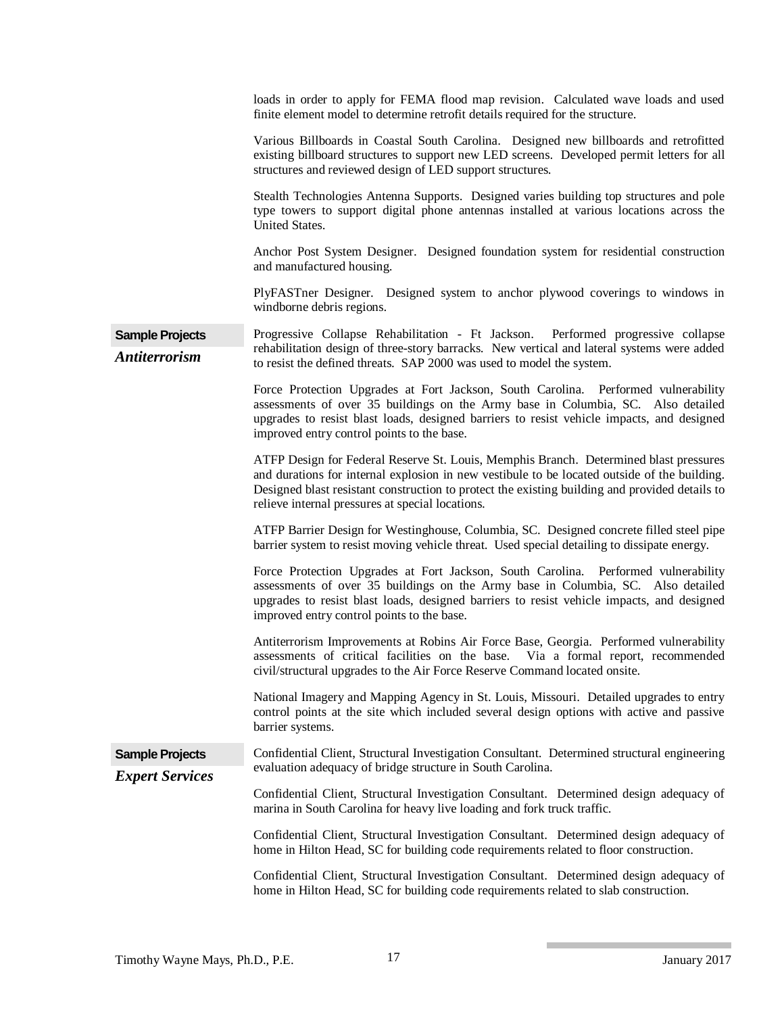|                                                  | loads in order to apply for FEMA flood map revision. Calculated wave loads and used<br>finite element model to determine retrofit details required for the structure.                                                                                                                                                                       |
|--------------------------------------------------|---------------------------------------------------------------------------------------------------------------------------------------------------------------------------------------------------------------------------------------------------------------------------------------------------------------------------------------------|
|                                                  | Various Billboards in Coastal South Carolina. Designed new billboards and retrofitted<br>existing billboard structures to support new LED screens. Developed permit letters for all<br>structures and reviewed design of LED support structures.                                                                                            |
|                                                  | Stealth Technologies Antenna Supports. Designed varies building top structures and pole<br>type towers to support digital phone antennas installed at various locations across the<br>United States.                                                                                                                                        |
|                                                  | Anchor Post System Designer. Designed foundation system for residential construction<br>and manufactured housing.                                                                                                                                                                                                                           |
|                                                  | PlyFASTner Designer. Designed system to anchor plywood coverings to windows in<br>windborne debris regions.                                                                                                                                                                                                                                 |
| <b>Sample Projects</b><br><b>Antiterrorism</b>   | Progressive Collapse Rehabilitation - Ft Jackson. Performed progressive collapse<br>rehabilitation design of three-story barracks. New vertical and lateral systems were added<br>to resist the defined threats. SAP 2000 was used to model the system.                                                                                     |
|                                                  | Force Protection Upgrades at Fort Jackson, South Carolina. Performed vulnerability<br>assessments of over 35 buildings on the Army base in Columbia, SC. Also detailed<br>upgrades to resist blast loads, designed barriers to resist vehicle impacts, and designed<br>improved entry control points to the base.                           |
|                                                  | ATFP Design for Federal Reserve St. Louis, Memphis Branch. Determined blast pressures<br>and durations for internal explosion in new vestibule to be located outside of the building.<br>Designed blast resistant construction to protect the existing building and provided details to<br>relieve internal pressures at special locations. |
|                                                  | ATFP Barrier Design for Westinghouse, Columbia, SC. Designed concrete filled steel pipe<br>barrier system to resist moving vehicle threat. Used special detailing to dissipate energy.                                                                                                                                                      |
|                                                  | Force Protection Upgrades at Fort Jackson, South Carolina. Performed vulnerability<br>assessments of over 35 buildings on the Army base in Columbia, SC. Also detailed<br>upgrades to resist blast loads, designed barriers to resist vehicle impacts, and designed<br>improved entry control points to the base.                           |
|                                                  | Antiterrorism Improvements at Robins Air Force Base, Georgia. Performed vulnerability<br>assessments of critical facilities on the base. Via a formal report, recommended<br>civil/structural upgrades to the Air Force Reserve Command located onsite.                                                                                     |
|                                                  | National Imagery and Mapping Agency in St. Louis, Missouri. Detailed upgrades to entry<br>control points at the site which included several design options with active and passive<br>barrier systems.                                                                                                                                      |
| <b>Sample Projects</b><br><b>Expert Services</b> | Confidential Client, Structural Investigation Consultant. Determined structural engineering<br>evaluation adequacy of bridge structure in South Carolina.                                                                                                                                                                                   |
|                                                  | Confidential Client, Structural Investigation Consultant. Determined design adequacy of<br>marina in South Carolina for heavy live loading and fork truck traffic.                                                                                                                                                                          |
|                                                  | Confidential Client, Structural Investigation Consultant. Determined design adequacy of<br>home in Hilton Head, SC for building code requirements related to floor construction.                                                                                                                                                            |
|                                                  | Confidential Client, Structural Investigation Consultant. Determined design adequacy of<br>home in Hilton Head, SC for building code requirements related to slab construction.                                                                                                                                                             |